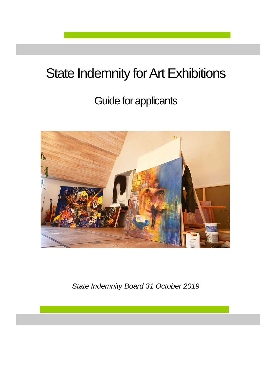# State Indemnity for Art Exhibitions

## Guide for applicants



*State Indemnity Board 31 October 2019*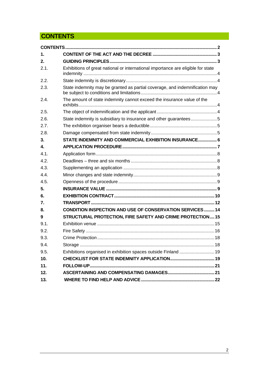## <span id="page-1-0"></span>**CONTENTS**

| 1.   |                                                                                  |  |  |
|------|----------------------------------------------------------------------------------|--|--|
| 2.   |                                                                                  |  |  |
| 2.1. | Exhibitions of great national or international importance are eligible for state |  |  |
| 2.2. |                                                                                  |  |  |
| 2.3. | State indemnity may be granted as partial coverage, and indemnification may      |  |  |
| 2.4. | The amount of state indemnity cannot exceed the insurance value of the           |  |  |
| 2.5. |                                                                                  |  |  |
| 2.6. | State indemnity is subsidiary to insurance and other guarantees5                 |  |  |
| 2.7. |                                                                                  |  |  |
| 2.8. |                                                                                  |  |  |
| 3.   | STATE INDEMNITY AND COMMERCIAL EXHIBITION INSURANCE 6                            |  |  |
| 4.   |                                                                                  |  |  |
| 4.1. |                                                                                  |  |  |
| 4.2. |                                                                                  |  |  |
| 4.3. |                                                                                  |  |  |
| 4.4  |                                                                                  |  |  |
| 4.5. |                                                                                  |  |  |
| 5.   |                                                                                  |  |  |
| 6.   |                                                                                  |  |  |
| 7.   |                                                                                  |  |  |
| 8.   | <b>CONDITION INSPECTION AND USE OF CONSERVATION SERVICES 14</b>                  |  |  |
| 9    | STRUCTURAL PROTECTION, FIRE SAFETY AND CRIME PROTECTION15                        |  |  |
| 9.1. |                                                                                  |  |  |
| 9.2. |                                                                                  |  |  |
| 9.3. |                                                                                  |  |  |
| 9.4. |                                                                                  |  |  |
| 9.5. | Exhibitions organised in exhibition spaces outside Finland  19                   |  |  |
| 10.  |                                                                                  |  |  |
| 11.  |                                                                                  |  |  |
| 12.  |                                                                                  |  |  |
| 13.  |                                                                                  |  |  |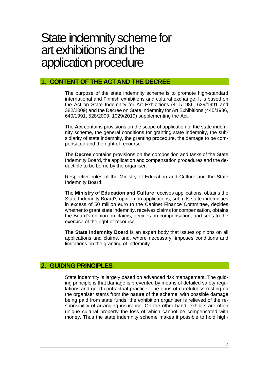## State indemnity scheme for art exhibitions and the application procedure

## <span id="page-2-0"></span>**1. CONTENT OF THE ACT AND THE DECREE**

The purpose of the state indemnity scheme is to promote high-standard international and Finnish exhibitions and cultural exchange. It is based on the Act on State Indemnity for Art Exhibitions (411/1986, 639/1991 and 382/2009) and the Decree on State Indemnity for Art Exhibitions (445/1986, 640/1991, 528/2009, 1029/2019) supplementing the Act.

The **Act** contains provisions on the scope of application of the state indemnity scheme, the general conditions for granting state indemnity, the subsidiarity of state indemnity, the granting procedure, the damage to be compensated and the right of recourse.

The **Decree** contains provisions on the composition and tasks of the State Indemnity Board, the application and compensation procedures and the deductible to be borne by the organiser.

Respective roles of the Ministry of Education and Culture and the State Indemnity Board:

The **Ministry of Education and Culture** receives applications, obtains the State Indemnity Board's opinion on applications, submits state indemnities in excess of 50 million euro to the Cabinet Finance Committee, decides whether to grant state indemnity, receives claims for compensation, obtains the Board's opinion on claims, decides on compensation, and sees to the exercise of the right of recourse.

The **State Indemnity Board** is an expert body that issues opinions on all applications and claims, and, where necessary, imposes conditions and limitations on the granting of indemnity.

## <span id="page-2-1"></span>**2. GUIDING PRINCIPLES**

State indemnity is largely based on advanced risk management. The guiding principle is that damage is prevented by means of detailed safety regulations and good contractual practice. The onus of carefulness resting on the organiser stems from the nature of the scheme: with possible damage being paid from state funds, the exhibition organiser is relieved of the responsibility of arranging insurance. On the other hand, exhibits are often unique cultural property the loss of which cannot be compensated with money. Thus the state indemnity scheme makes it possible to hold high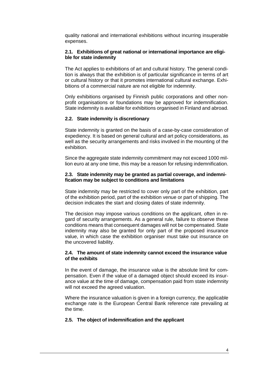quality national and international exhibitions without incurring insuperable expenses.

#### <span id="page-3-0"></span>**2.1. Exhibitions of great national or international importance are eligible for state indemnity**

The Act applies to exhibitions of art and cultural history. The general condition is always that the exhibition is of particular significance in terms of art or cultural history or that it promotes international cultural exchange. Exhibitions of a commercial nature are not eligible for indemnity.

Only exhibitions organised by Finnish public corporations and other nonprofit organisations or foundations may be approved for indemnification. State indemnity is available for exhibitions organised in Finland and abroad.

#### <span id="page-3-1"></span>**2.2. State indemnity is discretionary**

State indemnity is granted on the basis of a case-by-case consideration of expediency. It is based on general cultural and art policy considerations, as well as the security arrangements and risks involved in the mounting of the exhibition.

Since the aggregate state indemnity commitment may not exceed 1000 million euro at any one time, this may be a reason for refusing indemnification.

#### <span id="page-3-2"></span>**2.3. State indemnity may be granted as partial coverage, and indemnification may be subject to conditions and limitations**

State indemnity may be restricted to cover only part of the exhibition, part of the exhibition period, part of the exhibition venue or part of shipping. The decision indicates the start and closing dates of state indemnity.

The decision may impose various conditions on the applicant, often in regard of security arrangements. As a general rule, failure to observe these conditions means that consequent damages will not be compensated. State indemnity may also be granted for only part of the proposed insurance value, in which case the exhibition organiser must take out insurance on the uncovered liability.

#### <span id="page-3-3"></span>**2.4. The amount of state indemnity cannot exceed the insurance value of the exhibits**

In the event of damage, the insurance value is the absolute limit for compensation. Even if the value of a damaged object should exceed its insurance value at the time of damage, compensation paid from state indemnity will not exceed the agreed valuation.

Where the insurance valuation is given in a foreign currency, the applicable exchange rate is the European Central Bank reference rate prevailing at the time.

#### <span id="page-3-4"></span>**2.5. The object of indemnification and the applicant**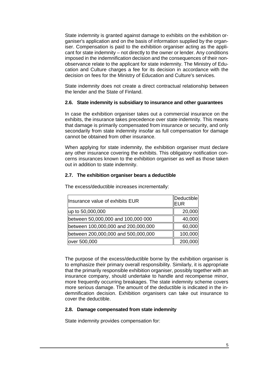State indemnity is granted against damage to exhibits on the exhibition organiser's application and on the basis of information supplied by the organiser. Compensation is paid to the exhibition organiser acting as the applicant for state indemnity – not directly to the owner or lender. Any conditions imposed in the indemnification decision and the consequences of their nonobservance relate to the applicant for state indemnity. The Ministry of Education and Culture charges a fee for its decision in accordance with the decision on fees for the Ministry of Education and Culture's services.

State indemnity does not create a direct contractual relationship between the lender and the State of Finland.

#### <span id="page-4-0"></span>**2.6. State indemnity is subsidiary to insurance and other guarantees**

In case the exhibition organiser takes out a commercial insurance on the exhibits, the insurance takes precedence over state indemnity. This means that damage is primarily compensated from insurance or security, and only secondarily from state indemnity insofar as full compensation for damage cannot be obtained from other insurance.

When applying for state indemnity, the exhibition organiser must declare any other insurance covering the exhibits. This obligatory notification concerns insurances known to the exhibition organiser as well as those taken out in addition to state indemnity.

#### <span id="page-4-1"></span>**2.7. The exhibition organiser bears a deductible**

| Insurance value of exhibits EUR     | Deductible<br><b>EUR</b> |
|-------------------------------------|--------------------------|
| up to 50,000,000                    | 20,000                   |
| between 50,000,000 and 100,000 000  | 40,000                   |
| between 100,000,000 and 200,000,000 | 60,000                   |
| between 200,000,000 and 500,000,000 | 100,000                  |
| over 500,000                        | 200,000                  |

The excess/deductible increases incrementally:

The purpose of the excess/deductible borne by the exhibition organiser is to emphasize their primary overall responsibility. Similarly, it is appropriate that the primarily responsible exhibition organiser, possibly together with an insurance company, should undertake to handle and recompense minor, more frequently occurring breakages. The state indemnity scheme covers more serious damage. The amount of the deductible is indicated in the indemnification decision. Exhibition organisers can take out insurance to cover the deductible.

#### <span id="page-4-2"></span>**2.8. Damage compensated from state indemnity**

State indemnity provides compensation for: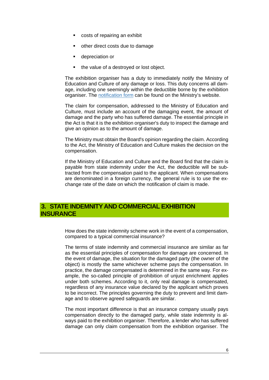- costs of repairing an exhibit
- **•** other direct costs due to damage
- **depreciation or**
- the value of a destroyed or lost object.

The exhibition organiser has a duty to immediately notify the Ministry of Education and Culture of any damage or loss. This duty concerns all damage, including one seemingly within the deductible borne by the exhibition organiser. The [notification](https://minedu.fi/documents/1410845/3956635/vahinkoilmoitus.doc/cc796628-5fe2-4031-898b-bec439fabfce) form can be found on the Ministry's website.

The claim for compensation, addressed to the Ministry of Education and Culture, must include an account of the damaging event, the amount of damage and the party who has suffered damage. The essential principle in the Act is that it is the exhibition organiser's duty to inspect the damage and give an opinion as to the amount of damage.

The Ministry must obtain the Board's opinion regarding the claim. According to the Act, the Ministry of Education and Culture makes the decision on the compensation.

If the Ministry of Education and Culture and the Board find that the claim is payable from state indemnity under the Act, the deductible will be subtracted from the compensation paid to the applicant. When compensations are denominated in a foreign currency, the general rule is to use the exchange rate of the date on which the notification of claim is made.

## <span id="page-5-0"></span>**3. STATE INDEMNITY AND COMMERCIAL EXHIBITION INSURANCE**

How does the state indemnity scheme work in the event of a compensation, compared to a typical commercial insurance?

The terms of state indemnity and commercial insurance are similar as far as the essential principles of compensation for damage are concerned. In the event of damage, the situation for the damaged party (the owner of the object) is mostly the same whichever scheme pays the compensation. In practice, the damage compensated is determined in the same way. For example, the so-called principle of prohibition of unjust enrichment applies under both schemes. According to it, only real damage is compensated, regardless of any insurance value declared by the applicant which proves to be incorrect. The principles governing the duty to prevent and limit damage and to observe agreed safeguards are similar.

The most important difference is that an insurance company usually pays compensation directly to the damaged party, while state indemnity is always paid to the exhibition organiser. Therefore, a lender who has suffered damage can only claim compensation from the exhibition organiser. The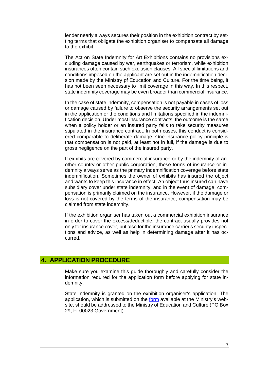lender nearly always secures their position in the exhibition contract by setting terms that obligate the exhibition organiser to compensate all damage to the exhibit.

The Act on State Indemnity for Art Exhibitions contains no provisions excluding damage caused by war, earthquakes or terrorism, while exhibition insurances often contain such exclusion clauses. All special limitations and conditions imposed on the applicant are set out in the indemnification decision made by the Ministry pf Education and Culture. For the time being, it has not been seen necessary to limit coverage in this way. In this respect, state indemnity coverage may be even broader than commercial insurance.

In the case of state indemnity, compensation is not payable in cases of loss or damage caused by failure to observe the security arrangements set out in the application or the conditions and limitations specified in the indemnification decision. Under most insurance contracts, the outcome is the same when a policy holder or an insured party fails to take security measures stipulated in the insurance contract. In both cases, this conduct is considered comparable to deliberate damage. One insurance policy principle is that compensation is not paid, at least not in full, if the damage is due to gross negligence on the part of the insured party.

If exhibits are covered by commercial insurance or by the indemnity of another country or other public corporation, these forms of insurance or indemnity always serve as the primary indemnification coverage before state indemnification. Sometimes the owner of exhibits has insured the object and wants to keep this insurance in effect. An object thus insured can have subsidiary cover under state indemnity, and in the event of damage, compensation is primarily claimed on the insurance. However, if the damage or loss is not covered by the terms of the insurance, compensation may be claimed from state indemnity.

If the exhibition organiser has taken out a commercial exhibition insurance in order to cover the excess/deductible, the contract usually provides not only for insurance cover, but also for the insurance carrier's security inspections and advice, as well as help in determining damage after it has occurred.

#### <span id="page-6-0"></span>**4. APPLICATION PROCEDURE**

Make sure you examine this guide thoroughly and carefully consider the information required for the application form before applying for state indemnity.

State indemnity is granted on the exhibition organiser's application. The application, which is submitted on the [form](https://minedu.fi/documents/1410845/3956635/takuuhakemus.doc/e23053ea-fe06-40e7-b7c6-6a6f6c21e0a9) available at the Ministry's website, should be addressed to the Ministry of Education and Culture (PO Box 29, FI-00023 Government).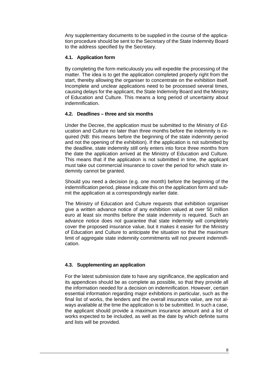Any supplementary documents to be supplied in the course of the application procedure should be sent to the Secretary of the State Indemnity Board to the address specified by the Secretary.

#### <span id="page-7-0"></span>**4.1. Application form**

By completing the form meticulously you will expedite the processing of the matter. The idea is to get the application completed properly right from the start, thereby allowing the organiser to concentrate on the exhibition itself. Incomplete and unclear applications need to be processed several times, causing delays for the applicant, the State Indemnity Board and the Ministry of Education and Culture. This means a long period of uncertainty about indemnification.

#### <span id="page-7-1"></span>**4.2. Deadlines – three and six months**

Under the Decree, the application must be submitted to the Ministry of Education and Culture no later than three months before the indemnity is required (NB: this means before the beginning of the state indemnity period and not the opening of the exhibition). If the application is not submitted by the deadline, state indemnity still only enters into force three months from the date the application arrived at the Ministry of Education and Culture. This means that if the application is not submitted in time, the applicant must take out commercial insurance to cover the period for which state indemnity cannot be granted.

Should you need a decision (e.g. one month) before the beginning of the indemnification period, please indicate this on the application form and submit the application at a correspondingly earlier date.

The Ministry of Education and Culture requests that exhibition organiser give a written advance notice of any exhibition valued at over 50 million euro at least six months before the state indemnity is required. Such an advance notice does not guarantee that state indemnity will completely cover the proposed insurance value, but it makes it easier for the Ministry of Education and Culture to anticipate the situation so that the maximum limit of aggregate state indemnity commitments will not prevent indemnification.

#### <span id="page-7-2"></span>**4.3. Supplementing an application**

For the latest submission date to have any significance, the application and its appendices should be as complete as possible, so that they provide all the information needed for a decision on indemnification. However, certain essential information regarding major exhibitions in particular, such as the final list of works, the lenders and the overall insurance value, are not always available at the time the application is to be submitted. In such a case, the applicant should provide a maximum insurance amount and a list of works expected to be included, as well as the date by which definite sums and lists will be provided.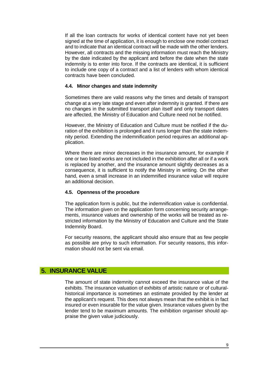If all the loan contracts for works of identical content have not yet been signed at the time of application, it is enough to enclose one model contract and to indicate that an identical contract will be made with the other lenders. However, all contracts and the missing information must reach the Ministry by the date indicated by the applicant and before the date when the state indemnity is to enter into force. If the contracts are identical, it is sufficient to include one copy of a contract and a list of lenders with whom identical contracts have been concluded.

#### <span id="page-8-0"></span>**4.4. Minor changes and state indemnity**

Sometimes there are valid reasons why the times and details of transport change at a very late stage and even after indemnity is granted. If there are no changes in the submitted transport plan itself and only transport dates are affected, the Ministry of Education and Culture need not be notified.

However, the Ministry of Education and Culture must be notified if the duration of the exhibition is prolonged and it runs longer than the state indemnity period. Extending the indemnification period requires an additional application.

Where there are minor decreases in the insurance amount, for example if one or two listed works are not included in the exhibition after all or if a work is replaced by another, and the insurance amount slightly decreases as a consequence, it is sufficient to notify the Ministry in writing. On the other hand, even a small increase in an indemnified insurance value will require an additional decision.

#### <span id="page-8-1"></span>**4.5. Openness of the procedure**

The application form is public, but the indemnification value is confidential. The information given on the application form concerning security arrangements, insurance values and ownership of the works will be treated as restricted information by the Ministry of Education and Culture and the State Indemnity Board.

For security reasons, the applicant should also ensure that as few people as possible are privy to such information. For security reasons, this information should not be sent via email.

## <span id="page-8-2"></span>**5. INSURANCE VALUE**

The amount of state indemnity cannot exceed the insurance value of the exhibits. The insurance valuation of exhibits of artistic nature or of culturalhistorical importance is sometimes an estimate provided by the lender at the applicant's request. This does not always mean that the exhibit is in fact insured or even insurable for the value given. Insurance values given by the lender tend to be maximum amounts. The exhibition organiser should appraise the given value judiciously.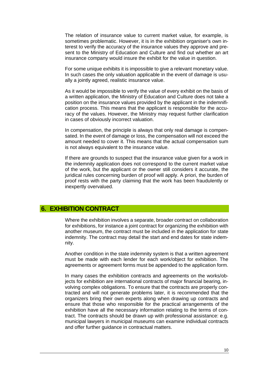The relation of insurance value to current market value, for example, is sometimes problematic. However, it is in the exhibition organiser's own interest to verify the accuracy of the insurance values they approve and present to the Ministry of Education and Culture and find out whether an art insurance company would insure the exhibit for the value in question.

For some unique exhibits it is impossible to give a relevant monetary value. In such cases the only valuation applicable in the event of damage is usually a jointly agreed, realistic insurance value.

As it would be impossible to verify the value of every exhibit on the basis of a written application, the Ministry of Education and Culture does not take a position on the insurance values provided by the applicant in the indemnification process. This means that the applicant is responsible for the accuracy of the values. However, the Ministry may request further clarification in cases of obviously incorrect valuation.

In compensation, the principle is always that only real damage is compensated. In the event of damage or loss, the compensation will not exceed the amount needed to cover it. This means that the actual compensation sum is not always equivalent to the insurance value.

If there are grounds to suspect that the insurance value given for a work in the indemnity application does not correspond to the current market value of the work, but the applicant or the owner still considers it accurate, the juridical rules concerning burden of proof will apply. A priori, the burden of proof rests with the party claiming that the work has been fraudulently or inexpertly overvalued.

#### <span id="page-9-0"></span>**6. EXHIBITION CONTRACT**

Where the exhibition involves a separate, broader contract on collaboration for exhibitions, for instance a joint contract for organizing the exhibition with another museum, the contract must be included in the application for state indemnity. The contract may detail the start and end dates for state indemnity.

Another condition in the state indemnity system is that a written agreement must be made with each lender for each work/object for exhibition. The agreements or agreement forms must be appended to the application form.

In many cases the exhibition contracts and agreements on the works/objects for exhibition are international contracts of major financial bearing, involving complex obligations. To ensure that the contracts are properly contracted and will not generate problems later, it is recommended that the organizers bring their own experts along when drawing up contracts and ensure that those who responsible for the practical arrangements of the exhibition have all the necessary information relating to the terms of contract. The contracts should be drawn up with professional assistance: e.g. municipal lawyers in municipal museums can examine individual contracts and offer further guidance in contractual matters.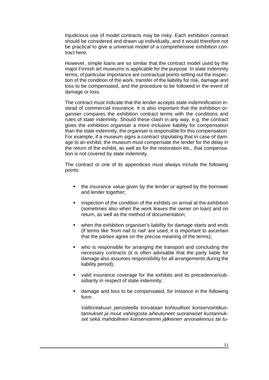Injudicious use of model contracts may be risky. Each exhibition contract should be considered and drawn up individually, and it would therefore not be practical to give a universal model of a comprehensive exhibition contract here.

However, simple loans are so similar that the contract model used by the major Finnish art museums is applicable for the purpose. In state indemnity terms, of particular importance are contractual points setting out the inspection of the condition of the work, transfer of the liability for risk, damage and loss to be compensated, and the procedure to be followed in the event of damage or loss.

The contract must indicate that the lender accepts state indemnification instead of commercial insurance. It is also important that the exhibition organiser compares the exhibition contract terms with the conditions and rules of state indemnity. Should these clash in any way, e.g. the contract gives the exhibition organiser a more inclusive liability for compensation than the state indemnity, the organiser is responsible for this compensation. For example, if a museum signs a contract stipulating that in case of damage to an exhibit, the museum must compensate the lender for the delay in the return of the exhibit, as well as for the restoration etc., that compensation is not covered by state indemnity.

The contract or one of its appendices must always include the following points:

- the insurance value given by the lender or agreed by the borrower and lender together;
- **EXECT** inspection of the condition of the exhibits on arrival at the exhibition (sometimes also when the work leaves the owner on loan) and on return, as well as the method of documentation;
- when the exhibition organiser's liability for damage starts and ends (if terms like 'from nail to nail' are used, it is important to ascertain that the parties agree on the precise meaning of the terms);
- who is responsible for arranging the transport and concluding the necessary contracts (it is often advisable that the party liable for damage also assumes responsibility for all arrangements during the liability period);
- valid insurance coverage for the exhibits and its precedence/subsidiarity in respect of state indemnity;
- damage and loss to be compensated, for instance in the following form:

*Valtiontakuun perusteella korvataan kohtuulliset konservointikustannukset ja muut vahingosta aiheutuneet suoranaiset kustannukset sekä mahdollinen konservoinnin jälkeinen arvonalennus tai tu-*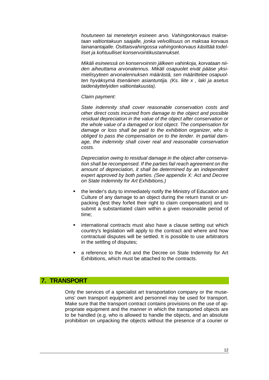*houtuneen tai menetetyn esineen arvo. Vahingonkorvaus maksetaan valtiontakuun saajalle, jonka velvollisuus on maksaa korvaus lainanantajalle. Osittaisvahingossa vahingonkorvaus käsittää todelliset ja kohtuulliset konservointikustannukset.*

*Mikäli esineessä on konservoinnin jälkeen vahinkoja, korvataan niiden aiheuttama arvonalennus. Mikäli osapuolet eivät pääse yksimielisyyteen arvonalennuksen määrästä, sen määrittelee osapuolten hyväksymä itsenäinen asiantuntija. (Ks. liite x , laki ja asetus taidenäyttelyiden valtiontakuusta).*

#### *Claim payment:*

*State indemnity shall cover reasonable conservation costs and other direct costs incurred from damage to the object and possible residual depreciation in the value of the object after conservation or the whole value of a damaged or lost object. The compensation for damage or loss shall be paid to the exhibition organizer, who is obliged to pass the compensation on to the lender. In partial damage, the indemnity shall cover real and reasonable conservation costs.*

*Depreciation owing to residual damage in the object after conservation shall be recompensed. If the parties fail reach agreement on the amount of depreciation, it shall be determined by an independent expert approved by both parties. (See appendix X: Act and Decree on State Indemnity for Art Exhibitions.)*

- the lender's duty to immediately notify the Ministry of Education and Culture of any damage to an object during the return transit or unpacking (lest they forfeit their right to claim compensation) and to submit a substantiated claim within a given reasonable period of time;
- **EXT** international contracts must also have a clause setting out which country's legislation will apply to the contract and where and how contractual disputes will be settled. It is possible to use arbitrators in the settling of disputes;
- a reference to the Act and the Decree on State Indemnity for Art Exhibitions, which must be attached to the contracts.

#### <span id="page-11-0"></span>**7. TRANSPORT**

Only the services of a specialist art transportation company or the museums' own transport equipment and personnel may be used for transport. Make sure that the transport contract contains provisions on the use of appropriate equipment and the manner in which the transported objects are to be handled (e.g. who is allowed to handle the objects, and an absolute prohibition on unpacking the objects without the presence of a courier or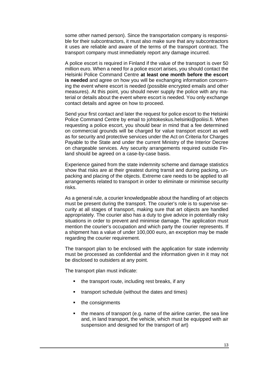some other named person). Since the transportation company is responsible for their subcontractors, it must also make sure that any subcontractors it uses are reliable and aware of the terms of the transport contract. The transport company must immediately report any damage incurred.

A police escort is required in Finland if the value of the transport is over 50 million euro. When a need for a police escort arises, you should contact the Helsinki Police Command Centre **at least one month before the escort is needed** and agree on how you will be exchanging information concerning the event where escort is needed (possible encrypted emails and other measures). At this point, you should never supply the police with any material or details about the event where escort is needed. You only exchange contact details and agree on how to proceed.

Send your first contact and later the request for police escort to the Helsinki Police Command Centre by email to johtokeskus.helsinki@poliisi.fi. When requesting a police escort, you should bear in mind that a fee determined on commercial grounds will be charged for value transport escort as well as for security and protective services under the Act on Criteria for Charges Payable to the State and under the current Ministry of the Interior Decree on chargeable services. Any security arrangements required outside Finland should be agreed on a case-by-case basis.

Experience gained from the state indemnity scheme and damage statistics show that risks are at their greatest during transit and during packing, unpacking and placing of the objects. Extreme care needs to be applied to all arrangements related to transport in order to eliminate or minimise security risks.

As a general rule, a courier knowledgeable about the handling of art objects must be present during the transport. The courier's role is to supervise security at all stages of transport, making sure that art objects are handled appropriately. The courier also has a duty to give advice in potentially risky situations in order to prevent and minimise damage. The application must mention the courier's occupation and which party the courier represents. If a shipment has a value of under 100,000 euro, an exception may be made regarding the courier requirement.

The transport plan to be enclosed with the application for state indemnity must be processed as confidential and the information given in it may not be disclosed to outsiders at any point.

The transport plan must indicate:

- the transport route, including rest breaks, if any
- transport schedule (without the dates and times)
- the consignments
- the means of transport (e.g. name of the airline carrier, the sea line and, in land transport, the vehicle, which must be equipped with air suspension and designed for the transport of art)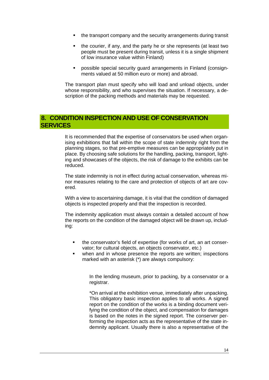- the transport company and the security arrangements during transit
- the courier, if any, and the party he or she represents (at least two people must be present during transit, unless it is a single shipment of low insurance value within Finland)
- possible special security guard arrangements in Finland (consignments valued at 50 million euro or more) and abroad.

The transport plan must specify who will load and unload objects, under whose responsibility, and who supervises the situation. If necessary, a description of the packing methods and materials may be requested.

## <span id="page-13-0"></span>**8. CONDITION INSPECTION AND USE OF CONSERVATION SERVICES**

It is recommended that the expertise of conservators be used when organising exhibitions that fall within the scope of state indemnity right from the planning stages, so that pre-emptive measures can be appropriately put in place. By choosing safe solutions for the handling, packing, transport, lighting and showcases of the objects, the risk of damage to the exhibits can be reduced.

The state indemnity is not in effect during actual conservation, whereas minor measures relating to the care and protection of objects of art are covered.

With a view to ascertaining damage, it is vital that the condition of damaged objects is inspected properly and that the inspection is recorded.

The indemnity application must always contain a detailed account of how the reports on the condition of the damaged object will be drawn up, including:

- the conservator's field of expertise (for works of art, an art conservator; for cultural objects, an objects conservator, etc.)
- when and in whose presence the reports are written; inspections marked with an asterisk (\*) are always compulsory:

In the lending museum, prior to packing, by a conservator or a registrar.

\*On arrival at the exhibition venue, immediately after unpacking. This obligatory basic inspection applies to all works. A signed report on the condition of the works is a binding document verifying the condition of the object, and compensation for damages is based on the notes in the signed report. The conserver performing the inspection acts as the representative of the state indemnity applicant. Usually there is also a representative of the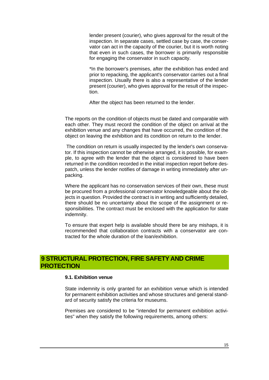lender present (courier), who gives approval for the result of the inspection. In separate cases, settled case by case, the conservator can act in the capacity of the courier, but it is worth noting that even in such cases, the borrower is primarily responsible for engaging the conservator in such capacity.

\*In the borrower's premises, after the exhibition has ended and prior to repacking, the applicant's conservator carries out a final inspection. Usually there is also a representative of the lender present (courier), who gives approval for the result of the inspection.

After the object has been returned to the lender.

The reports on the condition of objects must be dated and comparable with each other. They must record the condition of the object on arrival at the exhibition venue and any changes that have occurred, the condition of the object on leaving the exhibition and its condition on return to the lender.

The condition on return is usually inspected by the lender's own conservator. If this inspection cannot be otherwise arranged, it is possible, for example, to agree with the lender that the object is considered to have been returned in the condition recorded in the initial inspection report before despatch, unless the lender notifies of damage in writing immediately after unpacking.

Where the applicant has no conservation services of their own, these must be procured from a professional conservator knowledgeable about the objects in question. Provided the contract is in writing and sufficiently detailed, there should be no uncertainty about the scope of the assignment or responsibilities. The contract must be enclosed with the application for state indemnity.

To ensure that expert help is available should there be any mishaps, it is recommended that collaboration contracts with a conservator are contracted for the whole duration of the loan/exhibition.

## <span id="page-14-1"></span><span id="page-14-0"></span>**9 STRUCTURAL PROTECTION, FIRE SAFETY AND CRIME PROTECTION**

#### **9.1. Exhibition venue**

State indemnity is only granted for an exhibition venue which is intended for permanent exhibition activities and whose structures and general standard of security satisfy the criteria for museums.

Premises are considered to be "intended for permanent exhibition activities" when they satisfy the following requirements, among others: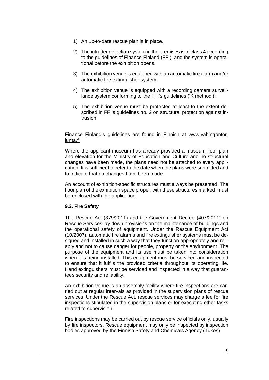- 1) An up-to-date rescue plan is in place.
- 2) The intruder detection system in the premises is of class 4 according to the guidelines of Finance Finland (FFI), and the system is operational before the exhibition opens.
- 3) The exhibition venue is equipped with an automatic fire alarm and/or automatic fire extinguisher system.
- 4) The exhibition venue is equipped with a recording camera surveillance system conforming to the FFI's guidelines ('K method').
- 5) The exhibition venue must be protected at least to the extent described in FFI's guidelines no. 2 on structural protection against intrusion.

Finance Finland's guidelines are found in Finnish at [www.vahingontor](http://www.vahingontorjunta.fi/)[junta.fi](http://www.vahingontorjunta.fi/)

Where the applicant museum has already provided a museum floor plan and elevation for the Ministry of Education and Culture and no structural changes have been made, the plans need not be attached to every application. It is sufficient to refer to the date when the plans were submitted and to indicate that no changes have been made.

An account of exhibition-specific structures must always be presented. The floor plan of the exhibition space proper, with these structures marked, must be enclosed with the application.

#### <span id="page-15-0"></span>**9.2. Fire Safety**

The Rescue Act (379/2011) and the Government Decree (407/2011) on Rescue Services lay down provisions on the maintenance of buildings and the operational safety of equipment. Under the Rescue Equipment Act (10/2007), automatic fire alarms and fire extinguisher systems must be designed and installed in such a way that they function appropriately and reliably and not to cause danger for people, property or the environment. The purpose of the equipment and its use must be taken into consideration when it is being installed. This equipment must be serviced and inspected to ensure that it fulfils the provided criteria throughout its operating life. Hand extinguishers must be serviced and inspected in a way that guarantees security and reliability.

An exhibition venue is an assembly facility where fire inspections are carried out at regular intervals as provided in the supervision plans of rescue services. Under the Rescue Act, rescue services may charge a fee for fire inspections stipulated in the supervision plans or for executing other tasks related to supervision.

Fire inspections may be carried out by rescue service officials only, usually by fire inspectors. Rescue equipment may only be inspected by inspection bodies approved by the Finnish Safety and Chemicals Agency (Tukes)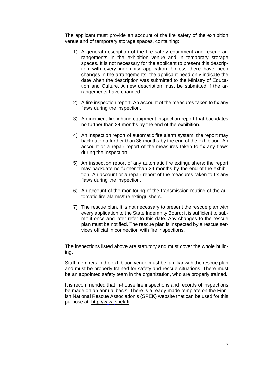The applicant must provide an account of the fire safety of the exhibition venue and of temporary storage spaces, containing:

- 1) A general description of the fire safety equipment and rescue arrangements in the exhibition venue and in temporary storage spaces. It is not necessary for the applicant to present this description with every indemnity application. Unless there have been changes in the arrangements, the applicant need only indicate the date when the description was submitted to the Ministry of Education and Culture. A new description must be submitted if the arrangements have changed.
- 2) A fire inspection report. An account of the measures taken to fix any flaws during the inspection.
- 3) An incipient firefighting equipment inspection report that backdates no further than 24 months by the end of the exhibition.
- 4) An inspection report of automatic fire alarm system; the report may backdate no further than 36 months by the end of the exhibition. An account or a repair report of the measures taken to fix any flaws during the inspection.
- 5) An inspection report of any automatic fire extinguishers; the report may backdate no further than 24 months by the end of the exhibition. An account or a repair report of the measures taken to fix any flaws during the inspection.
- 6) An account of the monitoring of the transmission routing of the automatic fire alarms/fire extinguishers.
- 7) The rescue plan. It is not necessary to present the rescue plan with every application to the State Indemnity Board; it is sufficient to submit it once and later refer to this date. Any changes to the rescue plan must be notified. The rescue plan is inspected by a rescue services official in connection with fire inspections.

The inspections listed above are statutory and must cover the whole building.

Staff members in the exhibition venue must be familiar with the rescue plan and must be properly trained for safety and rescue situations. There must be an appointed safety team in the organization, who are properly trained.

It is recommended that in-house fire inspections and records of inspections be made on an annual basis. There is a ready-made template on the Finnish National Rescue Association's (SPEK) website that can be used for this purpose at: [http://w](http://www.spek.fi/) w. spek.fi.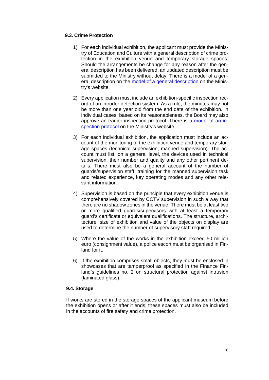#### <span id="page-17-0"></span>**9.3. Crime Protection**

- 1) For each individual exhibition, the applicant must provide the Ministry of Education and Culture with a general description of crime protection in the exhibition venue and temporary storage spaces. Should the arrangements be change for any reason after the general description has been delivered, an updated description must be submitted to the Ministry without delay. There is a model of a general description on the model of [a general description](http://www.minedu.fi/export/sites/default/OPM/Kulttuuri/Museot_ja_kulttuuriperintoe/taidenayttelyiden_valtiontakuu/liitteet/Katsastus_MUSEO_2008_x2x.pdf) on the Ministry's website.
- 2) Every application must include an exhibition-specific inspection record of an intruder detection system. As a rule, the minutes may not be more than one year old from the end date of the exhibition. In individual cases, based on its reasonableness, the Board may also approve an earlier inspection protocol. There is a model of an [in](http://www.minedu.fi/export/sites/default/OPM/Kulttuuri/Museot_ja_kulttuuriperintoe/taidenayttelyiden_valtiontakuu/liitteet/TurvajarjtarkptkST66340.pdf)[spection protocol](http://www.minedu.fi/export/sites/default/OPM/Kulttuuri/Museot_ja_kulttuuriperintoe/taidenayttelyiden_valtiontakuu/liitteet/TurvajarjtarkptkST66340.pdf) on the Ministry's website.
- 3) For each individual exhibition, the application must include an account of the monitoring of the exhibition venue and temporary storage spaces (technical supervision, manned supervision). The account must list, on a general level, the devices used in technical supervision, their number and quality and any other pertinent details. There must also be a general account of the number of guards/supervision staff, training for the manned supervision task and related experience, key operating modes and any other relevant information.
- 4) Supervision is based on the principle that every exhibition venue is comprehensively covered by CCTV supervision in such a way that there are no shadow zones in the venue. There must be at least two or more qualified guards/supervisors with at least a temporary guard's certificate or equivalent qualifications. The structure, architecture, size of exhibition and value of the objects on display are used to determine the number of supervisory staff required.
- 5) Where the value of the works in the exhibition exceed 50 million euro (consignment value), a police escort must be organised in Finland for it.
- 6) If the exhibition comprises small objects, they must be enclosed in showcases that are tamperproof as specified in the Finance Finland's guidelines no. 2 on structural protection against intrusion (laminated glass).

#### <span id="page-17-1"></span>**9.4. Storage**

If works are stored in the storage spaces of the applicant museum before the exhibition opens or after it ends, these spaces must also be included in the accounts of fire safety and crime protection.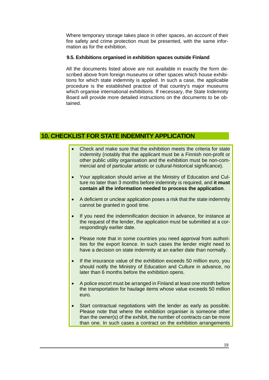Where temporary storage takes place in other spaces, an account of their fire safety and crime protection must be presented, with the same information as for the exhibition.

#### <span id="page-18-0"></span>**9.5. Exhibitions organised in exhibition spaces outside Finland**

All the documents listed above are not available in exactly the form described above from foreign museums or other spaces which house exhibitions for which state indemnity is applied. In such a case, the applicable procedure is the established practice of that country's major museums which organise international exhibitions. If necessary, the State Indemnity Board will provide more detailed instructions on the documents to be obtained.

## <span id="page-18-1"></span>**10. CHECKLIST FOR STATE INDEMNITY APPLICATION**

- Check and make sure that the exhibition meets the criteria for state indemnity (notably that the applicant must be a Finnish non-profit or other public utility organisation and the exhibition must be non-commercial and of particular artistic or cultural-historical significance).
- Your application should arrive at the Ministry of Education and Culture no later than 3 months before indemnity is required, and **it must contain all the information needed to process the application**.
- A deficient or unclear application poses a risk that the state indemnity cannot be granted in good time.
- If you need the indemnification decision in advance, for instance at the request of the lender, the application must be submitted at a correspondingly earlier date.
- Please note that in some countries you need approval from authorities for the export licence. In such cases the lender might need to have a decision on state indemnity at an earlier date than normally.
- If the insurance value of the exhibition exceeds 50 million euro, you should notify the Ministry of Education and Culture in advance, no later than 6 months before the exhibition opens.
- A police escort must be arranged in Finland at least one month before the transportation for haulage items whose value exceeds 50 million euro.
- Start contractual negotiations with the lender as early as possible. Please note that where the exhibition organiser is someone other than the owner(s) of the exhibit, the number of contracts can be more than one. In such cases a contract on the exhibition arrangements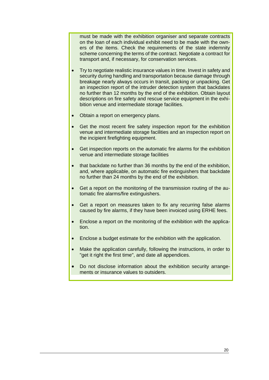must be made with the exhibition organiser and separate contracts on the loan of each individual exhibit need to be made with the owners of the items. Check the requirements of the state indemnity scheme concerning the terms of the contract. Negotiate a contract for transport and, if necessary, for conservation services.

- Try to negotiate realistic insurance values in time. Invest in safety and security during handling and transportation because damage through breakage nearly always occurs in transit, packing or unpacking. Get an inspection report of the intruder detection system that backdates no further than 12 months by the end of the exhibition. Obtain layout descriptions on fire safety and rescue service equipment in the exhibition venue and intermediate storage facilities.
- Obtain a report on emergency plans.
- Get the most recent fire safety inspection report for the exhibition venue and intermediate storage facilities and an inspection report on the incipient firefighting equipment.
- Get inspection reports on the automatic fire alarms for the exhibition venue and intermediate storage facilities
- that backdate no further than 36 months by the end of the exhibition, and, where applicable, on automatic fire extinguishers that backdate no further than 24 months by the end of the exhibition.
- Get a report on the monitoring of the transmission routing of the automatic fire alarms/fire extinguishers.
- Get a report on measures taken to fix any recurring false alarms caused by fire alarms, if they have been invoiced using ERHE fees.
- Enclose a report on the monitoring of the exhibition with the application.
- Enclose a budget estimate for the exhibition with the application.
- Make the application carefully, following the instructions, in order to "get it right the first time", and date all appendices.
- Do not disclose information about the exhibition security arrangements or insurance values to outsiders.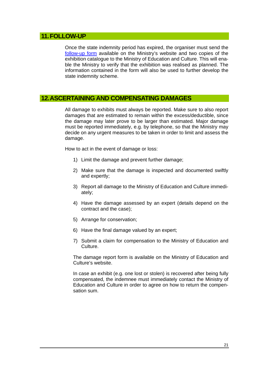## <span id="page-20-0"></span>**11.FOLLOW-UP**

Once the state indemnity period has expired, the organiser must send the [follow-up form](https://minedu.fi/documents/1410845/3956635/seurantalomake.doc/c1070864-574d-49c0-ac7c-13ece5924f43) available on the Ministry's website and two copies of the exhibition catalogue to the Ministry of Education and Culture. This will enable the Ministry to verify that the exhibition was realised as planned. The information contained in the [form](http://www.minedu.fi/export/sites/default/OPM/Kulttuuri/Museot_ja_kulttuuriperintoe/taidenayttelyiden_valtiontakuu/liitteet/seurantalomake.doc) will also be used to further develop the state indemnity scheme.

#### <span id="page-20-1"></span>**12.ASCERTAINING AND COMPENSATING DAMAGES**

All damage to exhibits must always be reported. Make sure to also report damages that are estimated to remain within the excess/deductible, since the damage may later prove to be larger than estimated. Major damage must be reported immediately, e.g. by telephone, so that the Ministry may decide on any urgent measures to be taken in order to limit and assess the damage.

How to act in the event of damage or loss:

- 1) Limit the damage and prevent further damage;
- 2) Make sure that the damage is inspected and documented swiftly and expertly;
- 3) Report all damage to the Ministry of Education and Culture immediately;
- 4) Have the damage assessed by an expert (details depend on the contract and the case);
- 5) Arrange for conservation;
- 6) Have the final damage valued by an expert;
- 7) Submit a claim for compensation to the Ministry of Education and Culture.

The [damage report form](http://www.minedu.fi/export/sites/default/OPM/Kulttuuri/Museot_ja_kulttuuriperintoe/taidenayttelyiden_valtiontakuu/liitteet/vahinkoilmoitus.doc) is available on the Ministry of Education and Culture's website.

In case an exhibit (e.g. one lost or stolen) is recovered after being fully compensated, the indemnee must immediately contact the Ministry of Education and Culture in order to agree on how to return the compensation sum.